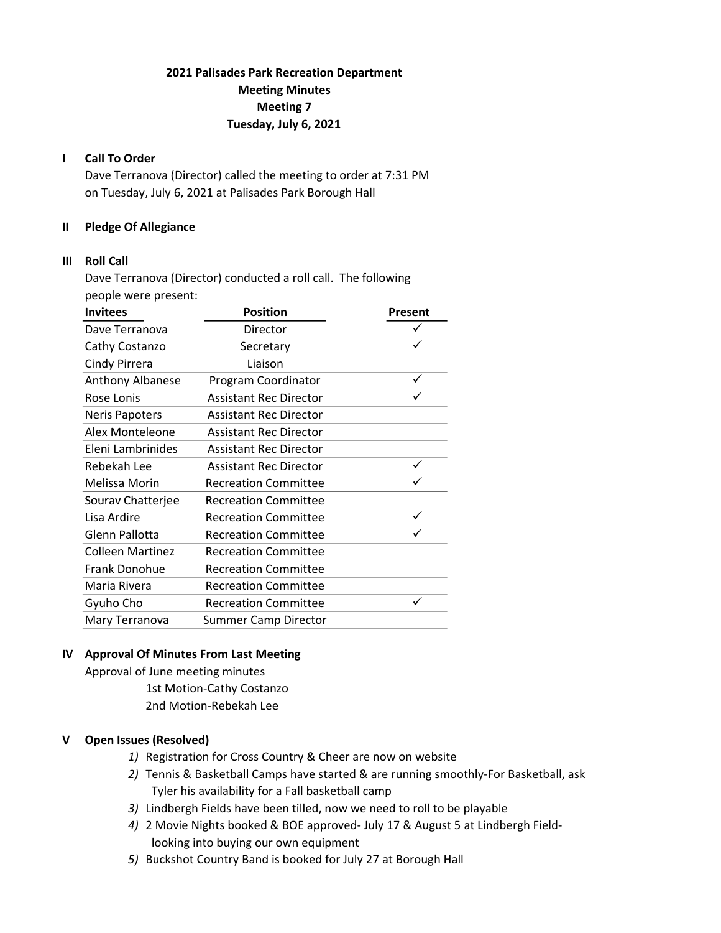# 2021 Palisades Park Recreation Department Meeting Minutes Meeting 7 Tuesday, July 6, 2021

### I Call To Order

Dave Terranova (Director) called the meeting to order at 7:31 PM on Tuesday, July 6, 2021 at Palisades Park Borough Hall

### II Pledge Of Allegiance

### III Roll Call

Dave Terranova (Director) conducted a roll call. The following people were present:

| <b>Invitees</b>         | <b>Position</b>               | Present |
|-------------------------|-------------------------------|---------|
| Dave Terranova          | Director                      | ✓       |
| Cathy Costanzo          | Secretary                     |         |
| Cindy Pirrera           | Liaison                       |         |
| <b>Anthony Albanese</b> | Program Coordinator           |         |
| Rose Lonis              | <b>Assistant Rec Director</b> |         |
| <b>Neris Papoters</b>   | <b>Assistant Rec Director</b> |         |
| Alex Monteleone         | <b>Assistant Rec Director</b> |         |
| Eleni Lambrinides       | <b>Assistant Rec Director</b> |         |
| Rebekah Lee             | <b>Assistant Rec Director</b> |         |
| Melissa Morin           | <b>Recreation Committee</b>   |         |
| Sourav Chatterjee       | <b>Recreation Committee</b>   |         |
| Lisa Ardire             | <b>Recreation Committee</b>   | ✓       |
| Glenn Pallotta          | <b>Recreation Committee</b>   |         |
| <b>Colleen Martinez</b> | <b>Recreation Committee</b>   |         |
| Frank Donohue           | <b>Recreation Committee</b>   |         |
| Maria Rivera            | <b>Recreation Committee</b>   |         |
| Gyuho Cho               | <b>Recreation Committee</b>   | ✓       |
| Mary Terranova          | <b>Summer Camp Director</b>   |         |

# IV Approval Of Minutes From Last Meeting

Approval of June meeting minutes 1st Motion-Cathy Costanzo 2nd Motion-Rebekah Lee

### V Open Issues (Resolved)

- 1) Registration for Cross Country & Cheer are now on website
- 2) Tennis & Basketball Camps have started & are running smoothly-For Basketball, ask Tyler his availability for a Fall basketball camp
- 3) Lindbergh Fields have been tilled, now we need to roll to be playable
- 4) 2 Movie Nights booked & BOE approved- July 17 & August 5 at Lindbergh Field looking into buying our own equipment
- 5) Buckshot Country Band is booked for July 27 at Borough Hall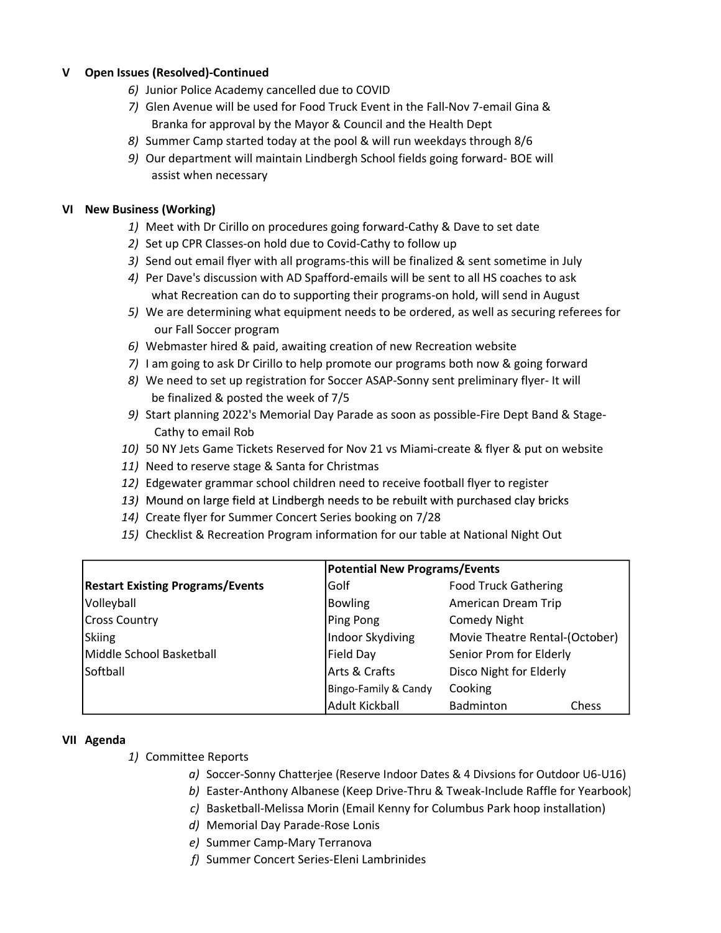# V Open Issues (Resolved)-Continued

- 6) Junior Police Academy cancelled due to COVID
- 7) Glen Avenue will be used for Food Truck Event in the Fall-Nov 7-email Gina & Branka for approval by the Mayor & Council and the Health Dept
- 8) Summer Camp started today at the pool & will run weekdays through 8/6
- 9) Our department will maintain Lindbergh School fields going forward- BOE will assist when necessary

### VI New Business (Working)

- 1) Meet with Dr Cirillo on procedures going forward-Cathy & Dave to set date
- 2) Set up CPR Classes-on hold due to Covid-Cathy to follow up
- 3) Send out email flyer with all programs-this will be finalized & sent sometime in July
- 4) Per Dave's discussion with AD Spafford-emails will be sent to all HS coaches to ask what Recreation can do to supporting their programs-on hold, will send in August
- 5) We are determining what equipment needs to be ordered, as well as securing referees for our Fall Soccer program
- 6) Webmaster hired & paid, awaiting creation of new Recreation website
- 7) I am going to ask Dr Cirillo to help promote our programs both now & going forward
- 8) We need to set up registration for Soccer ASAP-Sonny sent preliminary flyer- It will be finalized & posted the week of 7/5
- 9) Start planning 2022's Memorial Day Parade as soon as possible-Fire Dept Band & Stage- Cathy to email Rob
- 10) 50 NY Jets Game Tickets Reserved for Nov 21 vs Miami-create & flyer & put on website
- 11) Need to reserve stage & Santa for Christmas
- 12) Edgewater grammar school children need to receive football flyer to register
- 13) Mound on large field at Lindbergh needs to be rebuilt with purchased clay bricks
- 14) Create flyer for Summer Concert Series booking on 7/28
- 15) Checklist & Recreation Program information for our table at National Night Out

|                                         | <b>Potential New Programs/Events</b> |                                |  |
|-----------------------------------------|--------------------------------------|--------------------------------|--|
| <b>Restart Existing Programs/Events</b> | Golf                                 | <b>Food Truck Gathering</b>    |  |
| Volleyball                              | <b>Bowling</b>                       | American Dream Trip            |  |
| <b>Cross Country</b>                    | Ping Pong                            | <b>Comedy Night</b>            |  |
| Skiing                                  | Indoor Skydiving                     | Movie Theatre Rental-(October) |  |
| Middle School Basketball                | Field Day                            | Senior Prom for Elderly        |  |
| <b>Softball</b>                         | Arts & Crafts                        | Disco Night for Elderly        |  |
|                                         | Bingo-Family & Candy                 | Cooking                        |  |
|                                         | <b>Adult Kickball</b>                | Badminton<br>Chess             |  |

### VII Agenda

- 1) Committee Reports
	- a) Soccer-Sonny Chatterjee (Reserve Indoor Dates & 4 Divsions for Outdoor U6-U16)
	- b) Easter-Anthony Albanese (Keep Drive-Thru & Tweak-Include Raffle for Yearbook)
	- c) Basketball-Melissa Morin (Email Kenny for Columbus Park hoop installation)
	- d) Memorial Day Parade-Rose Lonis
	- e) Summer Camp-Mary Terranova
	- f) Summer Concert Series-Eleni Lambrinides